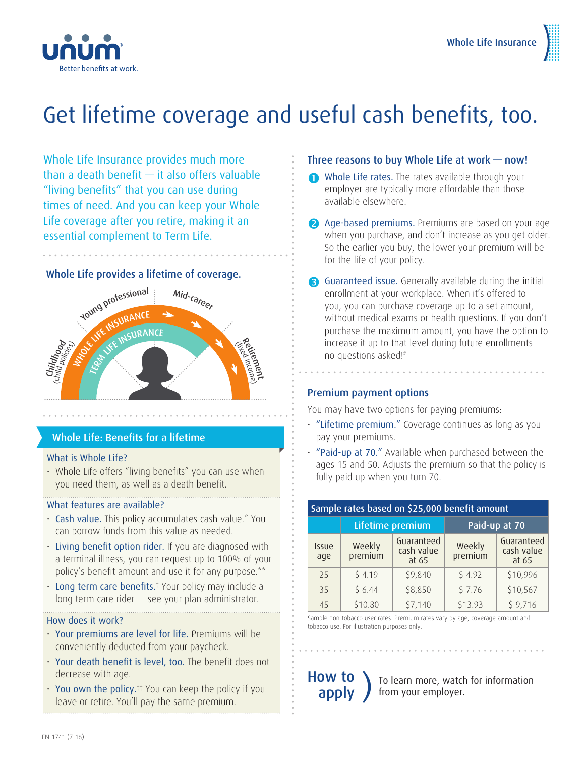

## Get lifetime coverage and useful cash benefits, too.

Whole Life Insurance provides much more than a death benefit — it also offers valuable "living benefits" that you can use during times of need. And you can keep your Whole Life coverage after you retire, making it an essential complement to Term Life.

#### Whole Life provides a lifetime of coverage.



### Whole Life: Benefits for a lifetime

#### What is Whole Life?

• Whole Life offers "living benefits" you can use when you need them, as well as a death benefit.

#### What features are available?

- Cash value. This policy accumulates cash value.\* You can borrow funds from this value as needed.
- Living benefit option rider. If you are diagnosed with a terminal illness, you can request up to 100% of your policy's benefit amount and use it for any purpose.\*\*
- Long term care benefits.<sup>†</sup> Your policy may include a long term care rider — see your plan administrator.

#### How does it work?

- Your premiums are level for life. Premiums will be conveniently deducted from your paycheck.
- Your death benefit is level, too. The benefit does not decrease with age.
- You own the policy.<sup> $+$ </sup> You can keep the policy if you leave or retire. You'll pay the same premium.

#### Three reasons to buy Whole Life at work — now!

- Whole Life rates. The rates available through your employer are typically more affordable than those available elsewhere.
- 2 Age-based premiums. Premiums are based on your age when you purchase, and don't increase as you get older. So the earlier you buy, the lower your premium will be for the life of your policy.
- Guaranteed issue. Generally available during the initial enrollment at your workplace. When it's offered to you, you can purchase coverage up to a set amount, without medical exams or health questions. If you don't purchase the maximum amount, you have the option to increase it up to that level during future enrollments no questions asked!#

#### Premium payment options

You may have two options for paying premiums:

- "Lifetime premium." Coverage continues as long as you pay your premiums.
- "Paid-up at 70." Available when purchased between the ages 15 and 50. Adjusts the premium so that the policy is fully paid up when you turn 70.

| Sample rates based on \$25,000 benefit amount |                   |                                   |                   |                                   |  |
|-----------------------------------------------|-------------------|-----------------------------------|-------------------|-----------------------------------|--|
|                                               | Lifetime premium  |                                   | Paid-up at 70     |                                   |  |
| <b>Issue</b><br>age                           | Weekly<br>premium | Guaranteed<br>cash value<br>at 65 | Weekly<br>premium | Guaranteed<br>cash value<br>at 65 |  |
| 25                                            | \$4.19            | \$9,840                           | \$4.92            | \$10,996                          |  |
| 35                                            | \$6.44            | \$8,850                           | \$7.76            | \$10,567                          |  |
| 45                                            | \$10.80           | \$7,140                           | \$13.93           | \$9,716                           |  |

Sample non-tobacco user rates. Premium rates vary by age, coverage amount and tobacco use. For illustration purposes only.

How to

**OW TO** are learn more, watch for information apply ) from your employer. from your employer.